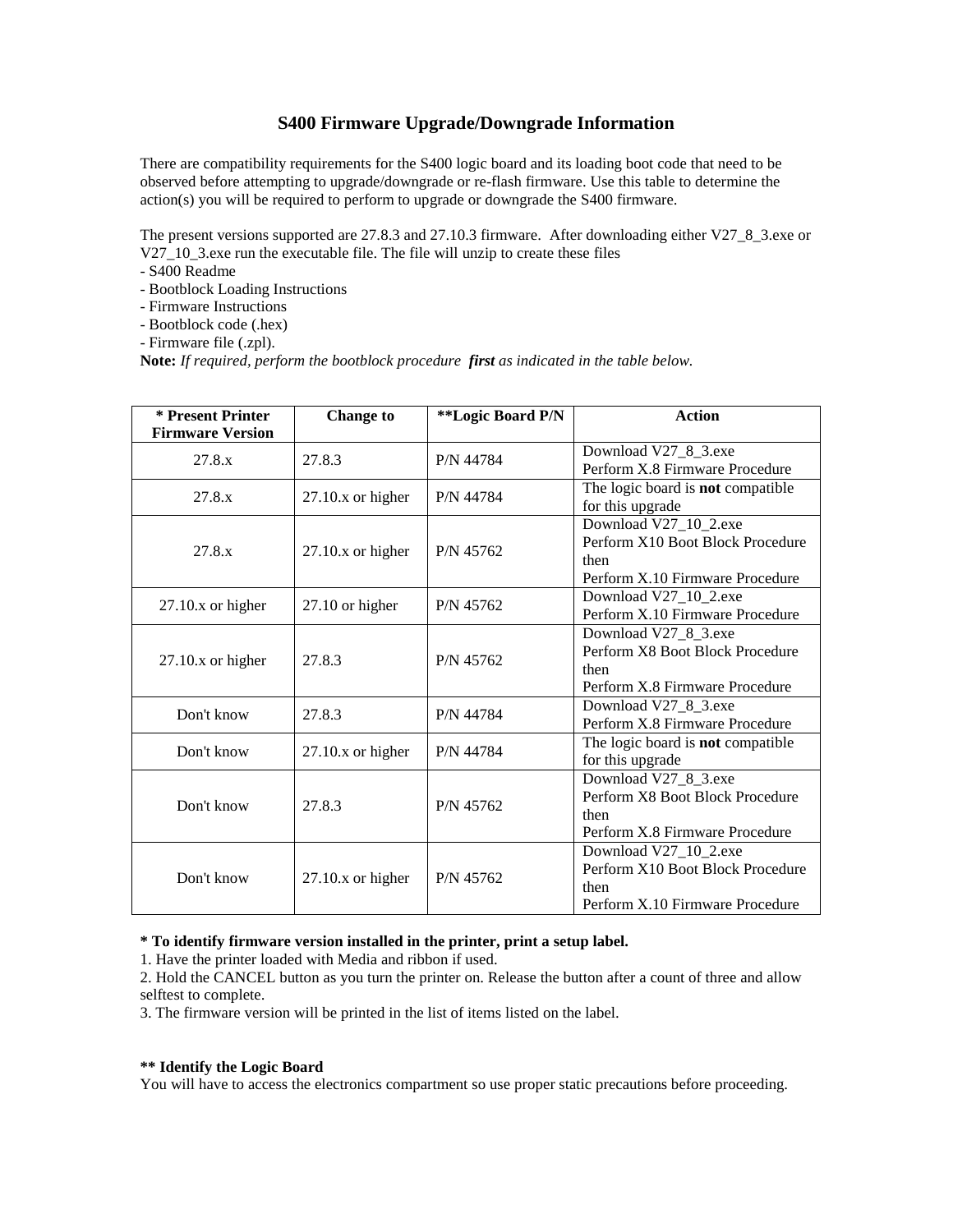## **S400 Firmware Upgrade/Downgrade Information**

There are compatibility requirements for the S400 logic board and its loading boot code that need to be observed before attempting to upgrade/downgrade or re-flash firmware. Use this table to determine the action(s) you will be required to perform to upgrade or downgrade the S400 firmware.

The present versions supported are 27.8.3 and 27.10.3 firmware. After downloading either V27\_8\_3.exe or V27\_10\_3.exe run the executable file. The file will unzip to create these files

- S400 Readme
- Bootblock Loading Instructions
- Firmware Instructions
- Bootblock code (.hex)
- Firmware file (.zpl).

**Note:** *If required, perform the bootblock procedure first as indicated in the table below.*

| * Present Printer<br><b>Firmware Version</b> | <b>Change to</b>     | **Logic Board P/N | <b>Action</b>                                                                                        |
|----------------------------------------------|----------------------|-------------------|------------------------------------------------------------------------------------------------------|
| 27.8.x                                       | 27.8.3               | P/N 44784         | Download V27_8_3.exe<br>Perform X.8 Firmware Procedure                                               |
| 27.8.x                                       | $27.10x$ or higher   | P/N 44784         | The logic board is not compatible<br>for this upgrade                                                |
| 27.8.x                                       | $27.10x$ or higher   | P/N 45762         | Download V27_10_2.exe<br>Perform X10 Boot Block Procedure<br>then<br>Perform X.10 Firmware Procedure |
| $27.10x$ or higher                           | 27.10 or higher      | P/N 45762         | Download V27_10_2.exe<br>Perform X.10 Firmware Procedure                                             |
| $27.10x$ or higher                           | 27.8.3               | P/N 45762         | Download V27_8_3.exe<br>Perform X8 Boot Block Procedure<br>then<br>Perform X.8 Firmware Procedure    |
| Don't know                                   | 27.8.3               | P/N 44784         | Download V27_8_3.exe<br>Perform X.8 Firmware Procedure                                               |
| Don't know                                   | $27.10$ .x or higher | P/N 44784         | The logic board is not compatible<br>for this upgrade                                                |
| Don't know                                   | 27.8.3               | P/N 45762         | Download V27_8_3.exe<br>Perform X8 Boot Block Procedure<br>then<br>Perform X.8 Firmware Procedure    |
| Don't know                                   | $27.10x$ or higher   | P/N 45762         | Download V27_10_2.exe<br>Perform X10 Boot Block Procedure<br>then<br>Perform X.10 Firmware Procedure |

## **\* To identify firmware version installed in the printer, print a setup label.**

1. Have the printer loaded with Media and ribbon if used.

2. Hold the CANCEL button as you turn the printer on. Release the button after a count of three and allow selftest to complete.

3. The firmware version will be printed in the list of items listed on the label.

## **\*\* Identify the Logic Board**

You will have to access the electronics compartment so use proper static precautions before proceeding.